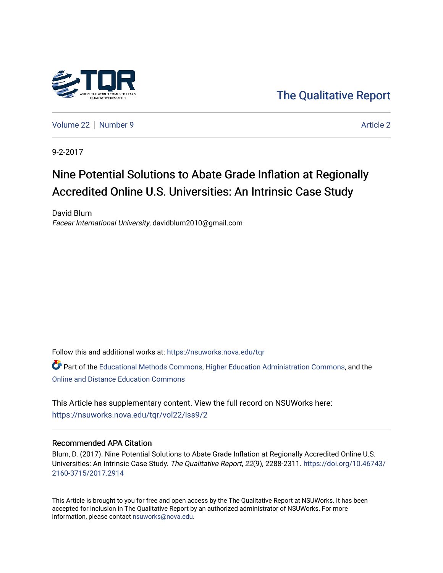

[The Qualitative Report](https://nsuworks.nova.edu/tqr) 

[Volume 22](https://nsuworks.nova.edu/tqr/vol22) [Number 9](https://nsuworks.nova.edu/tqr/vol22/iss9) [Article 2](https://nsuworks.nova.edu/tqr/vol22/iss9/2) Article 2

9-2-2017

# Nine Potential Solutions to Abate Grade Inflation at Regionally Accredited Online U.S. Universities: An Intrinsic Case Study

David Blum Facear International University, davidblum2010@gmail.com

Follow this and additional works at: [https://nsuworks.nova.edu/tqr](https://nsuworks.nova.edu/tqr?utm_source=nsuworks.nova.edu%2Ftqr%2Fvol22%2Fiss9%2F2&utm_medium=PDF&utm_campaign=PDFCoverPages) 

Part of the [Educational Methods Commons,](http://network.bepress.com/hgg/discipline/1227?utm_source=nsuworks.nova.edu%2Ftqr%2Fvol22%2Fiss9%2F2&utm_medium=PDF&utm_campaign=PDFCoverPages) [Higher Education Administration Commons,](http://network.bepress.com/hgg/discipline/791?utm_source=nsuworks.nova.edu%2Ftqr%2Fvol22%2Fiss9%2F2&utm_medium=PDF&utm_campaign=PDFCoverPages) and the [Online and Distance Education Commons](http://network.bepress.com/hgg/discipline/1296?utm_source=nsuworks.nova.edu%2Ftqr%2Fvol22%2Fiss9%2F2&utm_medium=PDF&utm_campaign=PDFCoverPages) 

This Article has supplementary content. View the full record on NSUWorks here: <https://nsuworks.nova.edu/tqr/vol22/iss9/2>

# Recommended APA Citation

Blum, D. (2017). Nine Potential Solutions to Abate Grade Inflation at Regionally Accredited Online U.S. Universities: An Intrinsic Case Study. The Qualitative Report, 22(9), 2288-2311. [https://doi.org/10.46743/](https://doi.org/10.46743/2160-3715/2017.2914) [2160-3715/2017.2914](https://doi.org/10.46743/2160-3715/2017.2914)

This Article is brought to you for free and open access by the The Qualitative Report at NSUWorks. It has been accepted for inclusion in The Qualitative Report by an authorized administrator of NSUWorks. For more information, please contact [nsuworks@nova.edu.](mailto:nsuworks@nova.edu)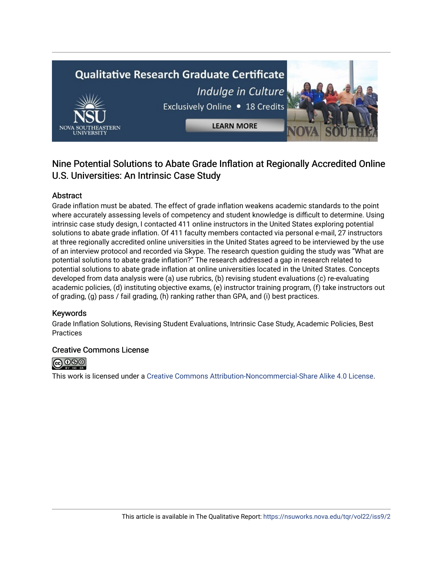# **Qualitative Research Graduate Certificate** Indulge in Culture Exclusively Online . 18 Credits **LEARN MORE**

# Nine Potential Solutions to Abate Grade Inflation at Regionally Accredited Online U.S. Universities: An Intrinsic Case Study

# Abstract

Grade inflation must be abated. The effect of grade inflation weakens academic standards to the point where accurately assessing levels of competency and student knowledge is difficult to determine. Using intrinsic case study design, I contacted 411 online instructors in the United States exploring potential solutions to abate grade inflation. Of 411 faculty members contacted via personal e-mail, 27 instructors at three regionally accredited online universities in the United States agreed to be interviewed by the use of an interview protocol and recorded via Skype. The research question guiding the study was "What are potential solutions to abate grade inflation?" The research addressed a gap in research related to potential solutions to abate grade inflation at online universities located in the United States. Concepts developed from data analysis were (a) use rubrics, (b) revising student evaluations (c) re-evaluating academic policies, (d) instituting objective exams, (e) instructor training program, (f) take instructors out of grading, (g) pass / fail grading, (h) ranking rather than GPA, and (i) best practices.

# Keywords

Grade Inflation Solutions, Revising Student Evaluations, Intrinsic Case Study, Academic Policies, Best Practices

# Creative Commons License



This work is licensed under a [Creative Commons Attribution-Noncommercial-Share Alike 4.0 License](https://creativecommons.org/licenses/by-nc-sa/4.0/).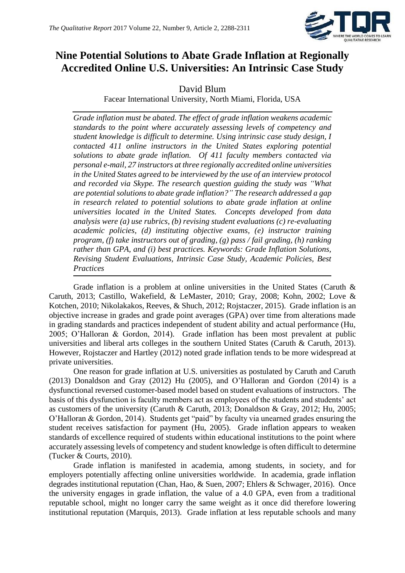

# **Nine Potential Solutions to Abate Grade Inflation at Regionally Accredited Online U.S. Universities: An Intrinsic Case Study**

# David Blum

Facear International University, North Miami, Florida, USA

*Grade inflation must be abated. The effect of grade inflation weakens academic standards to the point where accurately assessing levels of competency and student knowledge is difficult to determine. Using intrinsic case study design, I contacted 411 online instructors in the United States exploring potential solutions to abate grade inflation. Of 411 faculty members contacted via personal e-mail, 27 instructors at three regionally accredited online universities in the United States agreed to be interviewed by the use of an interview protocol and recorded via Skype. The research question guiding the study was "What are potential solutions to abate grade inflation?" The research addressed a gap in research related to potential solutions to abate grade inflation at online universities located in the United States. Concepts developed from data analysis were (a) use rubrics, (b) revising student evaluations (c) re-evaluating academic policies, (d) instituting objective exams, (e) instructor training program, (f) take instructors out of grading, (g) pass / fail grading, (h) ranking rather than GPA, and (i) best practices. Keywords: Grade Inflation Solutions, Revising Student Evaluations, Intrinsic Case Study, Academic Policies, Best Practices*

Grade inflation is a problem at online universities in the United States (Caruth & Caruth, 2013; Castillo, Wakefield, & LeMaster, 2010; Gray, 2008; Kohn, 2002; Love & Kotchen, 2010; Nikolakakos, Reeves, & Shuch, 2012; Rojstaczer, 2015). Grade inflation is an objective increase in grades and grade point averages (GPA) over time from alterations made in grading standards and practices independent of student ability and actual performance (Hu, 2005; O'Halloran & Gordon, 2014). Grade inflation has been most prevalent at public universities and liberal arts colleges in the southern United States (Caruth & Caruth, 2013). However, Rojstaczer and Hartley (2012) noted grade inflation tends to be more widespread at private universities.

One reason for grade inflation at U.S. universities as postulated by Caruth and Caruth (2013) Donaldson and Gray (2012) Hu (2005), and O'Halloran and Gordon (2014) is a dysfunctional reversed customer-based model based on student evaluations of instructors. The basis of this dysfunction is faculty members act as employees of the students and students' act as customers of the university (Caruth & Caruth, 2013; Donaldson & Gray, 2012; Hu, 2005; O'Halloran & Gordon, 2014). Students get "paid" by faculty via unearned grades ensuring the student receives satisfaction for payment (Hu, 2005). Grade inflation appears to weaken standards of excellence required of students within educational institutions to the point where accurately assessing levels of competency and student knowledge is often difficult to determine (Tucker & Courts, 2010).

Grade inflation is manifested in academia, among students, in society, and for employers potentially affecting online universities worldwide. In academia, grade inflation degrades institutional reputation (Chan, Hao, & Suen, 2007; Ehlers & Schwager, 2016). Once the university engages in grade inflation, the value of a 4.0 GPA, even from a traditional reputable school, might no longer carry the same weight as it once did therefore lowering institutional reputation (Marquis, 2013). Grade inflation at less reputable schools and many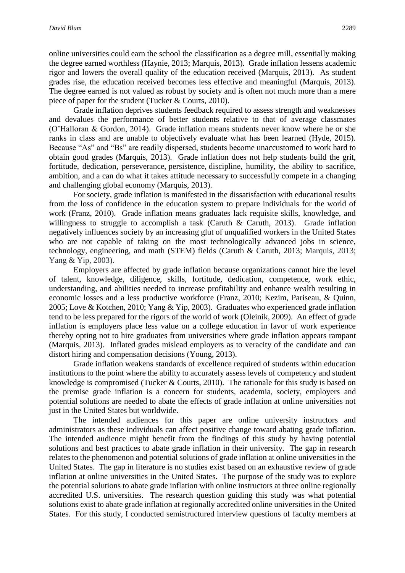online universities could earn the school the classification as a degree mill, essentially making the degree earned worthless (Haynie, 2013; Marquis, 2013). Grade inflation lessens academic rigor and lowers the overall quality of the education received (Marquis, 2013). As student grades rise, the education received becomes less effective and meaningful (Marquis, 2013). The degree earned is not valued as robust by society and is often not much more than a mere piece of paper for the student (Tucker & Courts, 2010).

Grade inflation deprives students feedback required to assess strength and weaknesses and devalues the performance of better students relative to that of average classmates (O'Halloran & Gordon, 2014). Grade inflation means students never know where he or she ranks in class and are unable to objectively evaluate what has been learned (Hyde, 2015). Because "As" and "Bs" are readily dispersed, students become unaccustomed to work hard to obtain good grades (Marquis, 2013). Grade inflation does not help students build the grit, fortitude, dedication, perseverance, persistence, discipline, humility, the ability to sacrifice, ambition, and a can do what it takes attitude necessary to successfully compete in a changing and challenging global economy (Marquis, 2013).

For society, grade inflation is manifested in the dissatisfaction with educational results from the loss of confidence in the education system to prepare individuals for the world of work (Franz, 2010). Grade inflation means graduates lack requisite skills, knowledge, and willingness to struggle to accomplish a task (Caruth  $\&$  Caruth, 2013). Grade inflation negatively influences society by an increasing glut of unqualified workers in the United States who are not capable of taking on the most technologically advanced jobs in science, technology, engineering, and math (STEM) fields (Caruth & Caruth, 2013; Marquis, 2013; Yang & Yip, 2003).

Employers are affected by grade inflation because organizations cannot hire the level of talent, knowledge, diligence, skills, fortitude, dedication, competence, work ethic, understanding, and abilities needed to increase profitability and enhance wealth resulting in economic losses and a less productive workforce (Franz, 2010; Kezim, Pariseau, & Quinn, 2005; Love & Kotchen, 2010; Yang & Yip, 2003). Graduates who experienced grade inflation tend to be less prepared for the rigors of the world of work (Oleinik, 2009). An effect of grade inflation is employers place less value on a college education in favor of work experience thereby opting not to hire graduates from universities where grade inflation appears rampant (Marquis, 2013). Inflated grades mislead employers as to veracity of the candidate and can distort hiring and compensation decisions (Young, 2013).

Grade inflation weakens standards of excellence required of students within education institutions to the point where the ability to accurately assess levels of competency and student knowledge is compromised (Tucker & Courts, 2010). The rationale for this study is based on the premise grade inflation is a concern for students, academia, society, employers and potential solutions are needed to abate the effects of grade inflation at online universities not just in the United States but worldwide.

The intended audiences for this paper are online university instructors and administrators as these individuals can affect positive change toward abating grade inflation. The intended audience might benefit from the findings of this study by having potential solutions and best practices to abate grade inflation in their university. The gap in research relates to the phenomenon and potential solutions of grade inflation at online universities in the United States. The gap in literature is no studies exist based on an exhaustive review of grade inflation at online universities in the United States. The purpose of the study was to explore the potential solutions to abate grade inflation with online instructors at three online regionally accredited U.S. universities. The research question guiding this study was what potential solutions exist to abate grade inflation at regionally accredited online universities in the United States. For this study, I conducted semistructured interview questions of faculty members at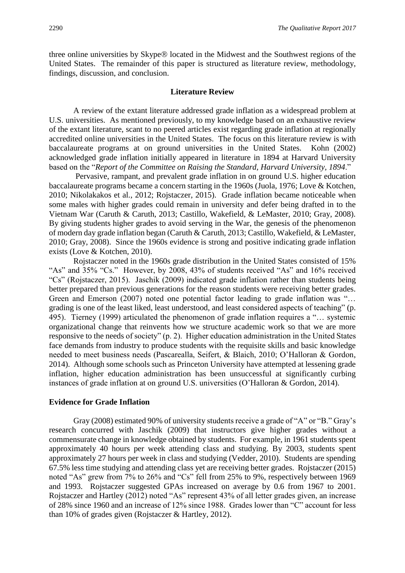three online universities by Skype® located in the Midwest and the Southwest regions of the United States. The remainder of this paper is structured as literature review, methodology, findings, discussion, and conclusion.

#### **Literature Review**

A review of the extant literature addressed grade inflation as a widespread problem at U.S. universities. As mentioned previously, to my knowledge based on an exhaustive review of the extant literature, scant to no peered articles exist regarding grade inflation at regionally accredited online universities in the United States. The focus on this literature review is with baccalaureate programs at on ground universities in the United States. Kohn (2002) acknowledged grade inflation initially appeared in literature in 1894 at Harvard University based on the "*Report of the Committee on Raising the Standard, Harvard University, 1894*."

Pervasive, rampant, and prevalent grade inflation in on ground U.S. higher education baccalaureate programs became a concern starting in the 1960s (Juola, 1976; Love & Kotchen, 2010; Nikolakakos et al., 2012; Rojstaczer, 2015). Grade inflation became noticeable when some males with higher grades could remain in university and defer being drafted in to the Vietnam War (Caruth & Caruth, 2013; Castillo, Wakefield, & LeMaster, 2010; Gray, 2008). By giving students higher grades to avoid serving in the War, the genesis of the phenomenon of modern day grade inflation began (Caruth & Caruth, 2013; Castillo, Wakefield, & LeMaster, 2010; Gray, 2008). Since the 1960s evidence is strong and positive indicating grade inflation exists (Love & Kotchen, 2010).

Rojstaczer noted in the 1960s grade distribution in the United States consisted of 15% "As" and 35% "Cs." However, by 2008, 43% of students received "As" and 16% received "Cs" (Rojstaczer, 2015). Jaschik (2009) indicated grade inflation rather than students being better prepared than previous generations for the reason students were receiving better grades. Green and Emerson (2007) noted one potential factor leading to grade inflation was "... grading is one of the least liked, least understood, and least considered aspects of teaching" (p. 495). Tierney (1999) articulated the phenomenon of grade inflation requires a "… systemic organizational change that reinvents how we structure academic work so that we are more responsive to the needs of society" (p. 2). Higher education administration in the United States face demands from industry to produce students with the requisite skills and basic knowledge needed to meet business needs (Pascarealla, Seifert, & Blaich, 2010; O'Halloran & Gordon, 2014). Although some schools such as Princeton University have attempted at lessening grade inflation, higher education administration has been unsuccessful at significantly curbing instances of grade inflation at on ground U.S. universities (O'Halloran & Gordon, 2014).

#### **Evidence for Grade Inflation**

Gray (2008) estimated 90% of university students receive a grade of "A" or "B." Gray's research concurred with Jaschik (2009) that instructors give higher grades without a commensurate change in knowledge obtained by students. For example, in 1961 students spent approximately 40 hours per week attending class and studying. By 2003, students spent approximately 27 hours per week in class and studying (Vedder, 2010). Students are spending 67.5% less time studying and attending class yet are receiving better grades. Rojstaczer (2015) noted "As" grew from 7% to 26% and "Cs" fell from 25% to 9%, respectively between 1969 and 1993. Rojstaczer suggested GPAs increased on average by 0.6 from 1967 to 2001. Rojstaczer and Hartley (2012) noted "As" represent 43% of all letter grades given, an increase of 28% since 1960 and an increase of 12% since 1988. Grades lower than "C" account for less than 10% of grades given (Rojstaczer & Hartley, 2012).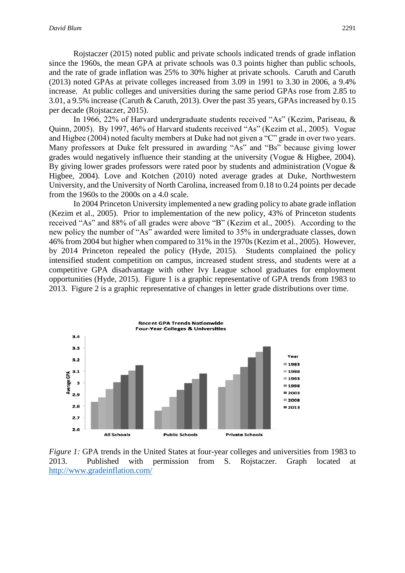Rojstaczer (2015) noted public and private schools indicated trends of grade inflation since the 1960s, the mean GPA at private schools was 0.3 points higher than public schools, and the rate of grade inflation was 25% to 30% higher at private schools. Caruth and Caruth (2013) noted GPAs at private colleges increased from 3.09 in 1991 to 3.30 in 2006, a 9.4% increase. At public colleges and universities during the same period GPAs rose from 2.85 to 3.01, a 9.5% increase (Caruth & Caruth, 2013). Over the past 35 years, GPAs increased by 0.15 per decade (Rojstaczer, 2015).

In 1966, 22% of Harvard undergraduate students received "As" (Kezim, Pariseau, & Quinn, 2005). By 1997, 46% of Harvard students received "As" (Kezim et al., 2005). Vogue and Higbee (2004) noted faculty members at Duke had not given a "C" grade in over two years. Many professors at Duke felt pressured in awarding "As" and "Bs" because giving lower grades would negatively influence their standing at the university (Vogue & Higbee, 2004). By giving lower grades professors were rated poor by students and administration (Vogue & Higbee, 2004). Love and Kotchen (2010) noted average grades at Duke, Northwestern University, and the University of North Carolina, increased from 0.18 to 0.24 points per decade from the 1960s to the 2000s on a 4.0 scale.

In 2004 Princeton University implemented a new grading policy to abate grade inflation (Kezim et al., 2005). Prior to implementation of the new policy, 43% of Princeton students received "As" and 88% of all grades were above "B" (Kezim et al., 2005). According to the new policy the number of "As" awarded were limited to 35% in undergraduate classes, down 46% from 2004 but higher when compared to 31% in the 1970s (Kezim et al., 2005). However, by 2014 Princeton repealed the policy (Hyde, 2015). Students complained the policy intensified student competition on campus, increased student stress, and students were at a competitive GPA disadvantage with other Ivy League school graduates for employment opportunities (Hyde, 2015). Figure 1 is a graphic representative of GPA trends from 1983 to 2013. Figure 2 is a graphic representative of changes in letter grade distributions over time.



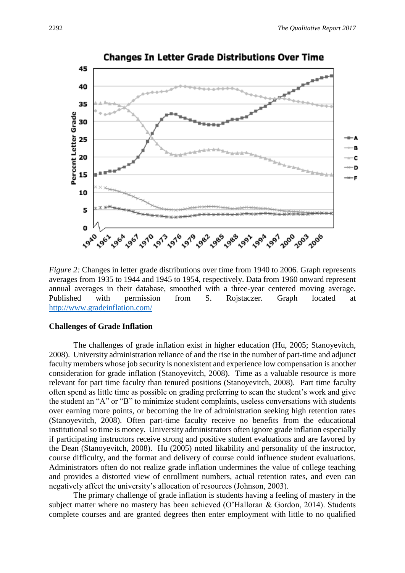

**Changes In Letter Grade Distributions Over Time** 

*Figure 2:* Changes in letter grade distributions over time from 1940 to 2006. Graph represents averages from 1935 to 1944 and 1945 to 1954, respectively. Data from 1960 onward represent annual averages in their database, smoothed with a three-year centered moving average. Published with permission from S. Rojstaczer. Graph located at <http://www.gradeinflation.com/>

# **Challenges of Grade Inflation**

The challenges of grade inflation exist in higher education (Hu, 2005; Stanoyevitch, 2008). University administration reliance of and the rise in the number of part-time and adjunct faculty members whose job security is nonexistent and experience low compensation is another consideration for grade inflation (Stanoyevitch, 2008). Time as a valuable resource is more relevant for part time faculty than tenured positions (Stanoyevitch, 2008). Part time faculty often spend as little time as possible on grading preferring to scan the student's work and give the student an "A" or "B" to minimize student complaints, useless conversations with students over earning more points, or becoming the ire of administration seeking high retention rates (Stanoyevitch, 2008). Often part-time faculty receive no benefits from the educational institutional so time is money. University administrators often ignore grade inflation especially if participating instructors receive strong and positive student evaluations and are favored by the Dean (Stanoyevitch, 2008). Hu (2005) noted likability and personality of the instructor, course difficulty, and the format and delivery of course could influence student evaluations. Administrators often do not realize grade inflation undermines the value of college teaching and provides a distorted view of enrollment numbers, actual retention rates, and even can negatively affect the university's allocation of resources (Johnson, 2003).

The primary challenge of grade inflation is students having a feeling of mastery in the subject matter where no mastery has been achieved (O'Halloran & Gordon, 2014). Students complete courses and are granted degrees then enter employment with little to no qualified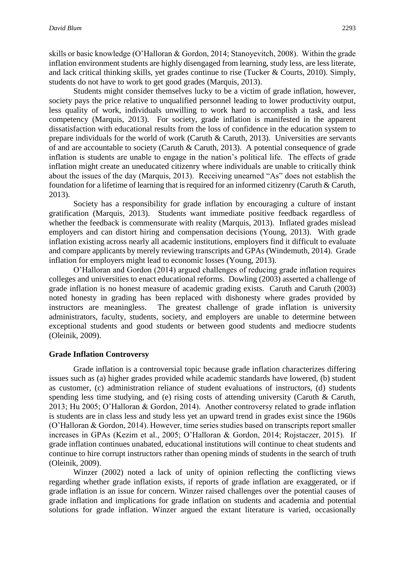skills or basic knowledge (O'Halloran & Gordon, 2014; Stanoyevitch, 2008). Within the grade inflation environment students are highly disengaged from learning, study less, are less literate, and lack critical thinking skills, yet grades continue to rise (Tucker & Courts, 2010). Simply, students do not have to work to get good grades (Marquis, 2013).

Students might consider themselves lucky to be a victim of grade inflation, however, society pays the price relative to unqualified personnel leading to lower productivity output, less quality of work, individuals unwilling to work hard to accomplish a task, and less competency (Marquis, 2013). For society, grade inflation is manifested in the apparent dissatisfaction with educational results from the loss of confidence in the education system to prepare individuals for the world of work (Caruth & Caruth, 2013). Universities are servants of and are accountable to society (Caruth & Caruth, 2013). A potential consequence of grade inflation is students are unable to engage in the nation's political life. The effects of grade inflation might create an uneducated citizenry where individuals are unable to critically think about the issues of the day (Marquis, 2013). Receiving unearned "As" does not establish the foundation for a lifetime of learning that is required for an informed citizenry (Caruth & Caruth, 2013).

Society has a responsibility for grade inflation by encouraging a culture of instant gratification (Marquis, 2013). Students want immediate positive feedback regardless of whether the feedback is commensurate with reality (Marquis, 2013). Inflated grades mislead employers and can distort hiring and compensation decisions (Young, 2013). With grade inflation existing across nearly all academic institutions, employers find it difficult to evaluate and compare applicants by merely reviewing transcripts and GPAs (Windemuth, 2014). Grade inflation for employers might lead to economic losses (Young, 2013).

O'Halloran and Gordon (2014) argued challenges of reducing grade inflation requires colleges and universities to enact educational reforms. Dowling (2003) asserted a challenge of grade inflation is no honest measure of academic grading exists. Caruth and Caruth (2003) noted honesty in grading has been replaced with dishonesty where grades provided by instructors are meaningless. The greatest challenge of grade inflation is university administrators, faculty, students, society, and employers are unable to determine between exceptional students and good students or between good students and mediocre students (Oleinik, 2009).

# **Grade Inflation Controversy**

Grade inflation is a controversial topic because grade inflation characterizes differing issues such as (a) higher grades provided while academic standards have lowered, (b) student as customer, (c) administration reliance of student evaluations of instructors, (d) students spending less time studying, and (e) rising costs of attending university (Caruth  $\&$  Caruth, 2013; Hu 2005; O'Halloran & Gordon, 2014). Another controversy related to grade inflation is students are in class less and study less yet an upward trend in grades exist since the 1960s (O'Halloran & Gordon, 2014). However, time series studies based on transcripts report smaller increases in GPAs (Kezim et al., 2005; O'Halloran & Gordon, 2014; Rojstaczer, 2015). If grade inflation continues unabated, educational institutions will continue to cheat students and continue to hire corrupt instructors rather than opening minds of students in the search of truth (Oleinik, 2009).

Winzer (2002) noted a lack of unity of opinion reflecting the conflicting views regarding whether grade inflation exists, if reports of grade inflation are exaggerated, or if grade inflation is an issue for concern. Winzer raised challenges over the potential causes of grade inflation and implications for grade inflation on students and academia and potential solutions for grade inflation. Winzer argued the extant literature is varied, occasionally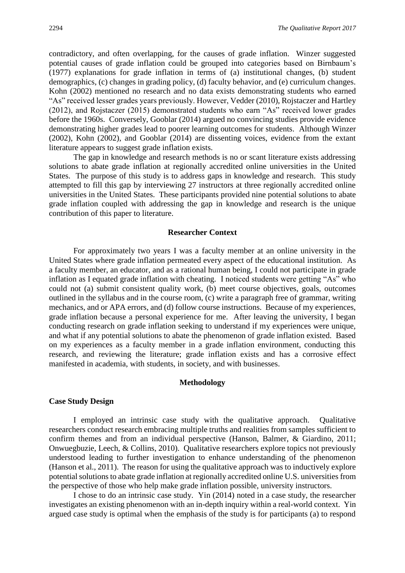contradictory, and often overlapping, for the causes of grade inflation. Winzer suggested potential causes of grade inflation could be grouped into categories based on Birnbaum's (1977) explanations for grade inflation in terms of (a) institutional changes, (b) student demographics, (c) changes in grading policy, (d) faculty behavior, and (e) curriculum changes. Kohn (2002) mentioned no research and no data exists demonstrating students who earned "As" received lesser grades years previously. However, Vedder (2010), Rojstaczer and Hartley (2012), and Rojstaczer (2015) demonstrated students who earn "As" received lower grades before the 1960s. Conversely, Gooblar (2014) argued no convincing studies provide evidence demonstrating higher grades lead to poorer learning outcomes for students. Although Winzer (2002), Kohn (2002), and Gooblar (2014) are dissenting voices, evidence from the extant literature appears to suggest grade inflation exists.

The gap in knowledge and research methods is no or scant literature exists addressing solutions to abate grade inflation at regionally accredited online universities in the United States. The purpose of this study is to address gaps in knowledge and research. This study attempted to fill this gap by interviewing 27 instructors at three regionally accredited online universities in the United States. These participants provided nine potential solutions to abate grade inflation coupled with addressing the gap in knowledge and research is the unique contribution of this paper to literature.

#### **Researcher Context**

For approximately two years I was a faculty member at an online university in the United States where grade inflation permeated every aspect of the educational institution. As a faculty member, an educator, and as a rational human being, I could not participate in grade inflation as I equated grade inflation with cheating. I noticed students were getting "As" who could not (a) submit consistent quality work, (b) meet course objectives, goals, outcomes outlined in the syllabus and in the course room, (c) write a paragraph free of grammar, writing mechanics, and or APA errors, and (d) follow course instructions. Because of my experiences, grade inflation because a personal experience for me. After leaving the university, I began conducting research on grade inflation seeking to understand if my experiences were unique, and what if any potential solutions to abate the phenomenon of grade inflation existed. Based on my experiences as a faculty member in a grade inflation environment, conducting this research, and reviewing the literature; grade inflation exists and has a corrosive effect manifested in academia, with students, in society, and with businesses.

## **Methodology**

# **Case Study Design**

I employed an intrinsic case study with the qualitative approach. Qualitative researchers conduct research embracing multiple truths and realities from samples sufficient to confirm themes and from an individual perspective (Hanson, Balmer, & Giardino, 2011; Onwuegbuzie, Leech, & Collins, 2010). Qualitative researchers explore topics not previously understood leading to further investigation to enhance understanding of the phenomenon (Hanson et al., 2011). The reason for using the qualitative approach was to inductively explore potential solutions to abate grade inflation at regionally accredited online U.S. universities from the perspective of those who help make grade inflation possible, university instructors.

I chose to do an intrinsic case study. Yin (2014) noted in a case study, the researcher investigates an existing phenomenon with an in-depth inquiry within a real-world context. Yin argued case study is optimal when the emphasis of the study is for participants (a) to respond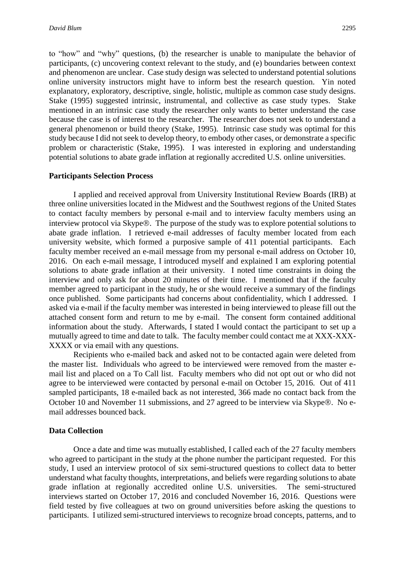to "how" and "why" questions, (b) the researcher is unable to manipulate the behavior of participants, (c) uncovering context relevant to the study, and (e) boundaries between context and phenomenon are unclear. Case study design was selected to understand potential solutions online university instructors might have to inform best the research question. Yin noted explanatory, exploratory, descriptive, single, holistic, multiple as common case study designs. Stake (1995) suggested intrinsic, instrumental, and collective as case study types. Stake mentioned in an intrinsic case study the researcher only wants to better understand the case because the case is of interest to the researcher. The researcher does not seek to understand a general phenomenon or build theory (Stake, 1995). Intrinsic case study was optimal for this study because I did not seek to develop theory, to embody other cases, or demonstrate a specific problem or characteristic (Stake, 1995). I was interested in exploring and understanding potential solutions to abate grade inflation at regionally accredited U.S. online universities.

# **Participants Selection Process**

I applied and received approval from University Institutional Review Boards (IRB) at three online universities located in the Midwest and the Southwest regions of the United States to contact faculty members by personal e-mail and to interview faculty members using an interview protocol via Skype®. The purpose of the study was to explore potential solutions to abate grade inflation. I retrieved e-mail addresses of faculty member located from each university website, which formed a purposive sample of 411 potential participants. Each faculty member received an e-mail message from my personal e-mail address on October 10, 2016. On each e-mail message, I introduced myself and explained I am exploring potential solutions to abate grade inflation at their university. I noted time constraints in doing the interview and only ask for about 20 minutes of their time. I mentioned that if the faculty member agreed to participant in the study, he or she would receive a summary of the findings once published. Some participants had concerns about confidentiality, which I addressed. I asked via e-mail if the faculty member was interested in being interviewed to please fill out the attached consent form and return to me by e-mail. The consent form contained additional information about the study. Afterwards, I stated I would contact the participant to set up a mutually agreed to time and date to talk. The faculty member could contact me at XXX-XXX-XXXX or via email with any questions.

Recipients who e-mailed back and asked not to be contacted again were deleted from the master list. Individuals who agreed to be interviewed were removed from the master email list and placed on a To Call list. Faculty members who did not opt out or who did not agree to be interviewed were contacted by personal e-mail on October 15, 2016. Out of 411 sampled participants, 18 e-mailed back as not interested, 366 made no contact back from the October 10 and November 11 submissions, and 27 agreed to be interview via Skype®. No email addresses bounced back.

# **Data Collection**

Once a date and time was mutually established, I called each of the 27 faculty members who agreed to participant in the study at the phone number the participant requested. For this study, I used an interview protocol of six semi-structured questions to collect data to better understand what faculty thoughts, interpretations, and beliefs were regarding solutions to abate grade inflation at regionally accredited online U.S. universities. The semi-structured interviews started on October 17, 2016 and concluded November 16, 2016. Questions were field tested by five colleagues at two on ground universities before asking the questions to participants. I utilized semi-structured interviews to recognize broad concepts, patterns, and to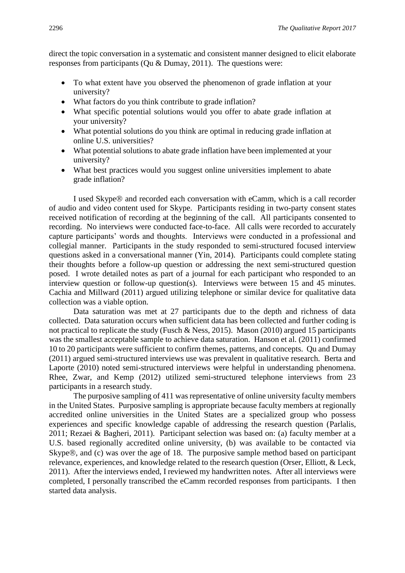direct the topic conversation in a systematic and consistent manner designed to elicit elaborate responses from participants (Qu & Dumay, 2011). The questions were:

- To what extent have you observed the phenomenon of grade inflation at your university?
- What factors do you think contribute to grade inflation?
- What specific potential solutions would you offer to abate grade inflation at your university?
- What potential solutions do you think are optimal in reducing grade inflation at online U.S. universities?
- What potential solutions to abate grade inflation have been implemented at your university?
- What best practices would you suggest online universities implement to abate grade inflation?

I used Skype® and recorded each conversation with eCamm, which is a call recorder of audio and video content used for Skype. Participants residing in two-party consent states received notification of recording at the beginning of the call. All participants consented to recording. No interviews were conducted face-to-face. All calls were recorded to accurately capture participants' words and thoughts. Interviews were conducted in a professional and collegial manner. Participants in the study responded to semi-structured focused interview questions asked in a conversational manner (Yin, 2014). Participants could complete stating their thoughts before a follow-up question or addressing the next semi-structured question posed. I wrote detailed notes as part of a journal for each participant who responded to an interview question or follow-up question(s). Interviews were between 15 and 45 minutes. Cachia and Millward (2011) argued utilizing telephone or similar device for qualitative data collection was a viable option.

Data saturation was met at 27 participants due to the depth and richness of data collected. Data saturation occurs when sufficient data has been collected and further coding is not practical to replicate the study (Fusch & Ness, 2015). Mason (2010) argued 15 participants was the smallest acceptable sample to achieve data saturation. Hanson et al. (2011) confirmed 10 to 20 participants were sufficient to confirm themes, patterns, and concepts. Qu and Dumay (2011) argued semi-structured interviews use was prevalent in qualitative research. Berta and Laporte (2010) noted semi-structured interviews were helpful in understanding phenomena. Rhee, Zwar, and Kemp (2012) utilized semi-structured telephone interviews from 23 participants in a research study.

The purposive sampling of 411 was representative of online university faculty members in the United States. Purposive sampling is appropriate because faculty members at regionally accredited online universities in the United States are a specialized group who possess experiences and specific knowledge capable of addressing the research question (Parlalis, 2011; Rezaei & Bagheri, 2011). Participant selection was based on: (a) faculty member at a U.S. based regionally accredited online university, (b) was available to be contacted via Skype $\mathcal{R}$ , and (c) was over the age of 18. The purposive sample method based on participant relevance, experiences, and knowledge related to the research question (Orser, Elliott, & Leck, 2011). After the interviews ended, I reviewed my handwritten notes. After all interviews were completed, I personally transcribed the eCamm recorded responses from participants. I then started data analysis.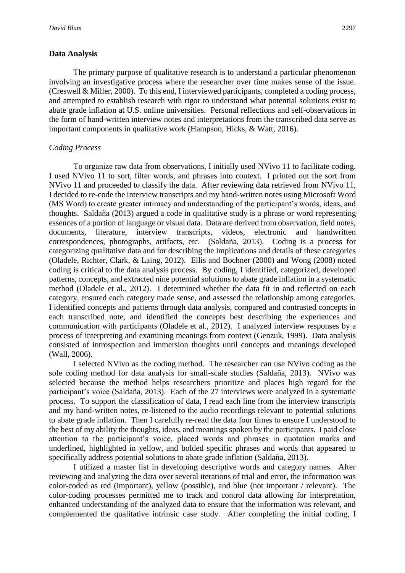# **Data Analysis**

The primary purpose of qualitative research is to understand a particular phenomenon involving an investigative process where the researcher over time makes sense of the issue. (Creswell & Miller, 2000). To this end, I interviewed participants, completed a coding process, and attempted to establish research with rigor to understand what potential solutions exist to abate grade inflation at U.S. online universities. Personal reflections and self-observations in the form of hand-written interview notes and interpretations from the transcribed data serve as important components in qualitative work (Hampson, Hicks, & Watt, 2016).

# *Coding Process*

To organize raw data from observations, I initially used NVivo 11 to facilitate coding. I used NVivo 11 to sort, filter words, and phrases into context. I printed out the sort from NVivo 11 and proceeded to classify the data. After reviewing data retrieved from NVivo 11, I decided to re-code the interview transcripts and my hand-written notes using Microsoft Word (MS Word) to create greater intimacy and understanding of the participant's words, ideas, and thoughts. Saldaña (2013) argued a code in qualitative study is a phrase or word representing essences of a portion of language or visual data. Data are derived from observation, field notes, documents, literature, interview transcripts, videos, electronic and handwritten correspondences, photographs, artifacts, etc. (Saldaña, 2013). Coding is a process for categorizing qualitative data and for describing the implications and details of these categories (Oladele, Richter, Clark, & Laing, 2012). Ellis and Bochner (2000) and Wong (2008) noted coding is critical to the data analysis process. By coding, I identified, categorized, developed patterns, concepts, and extracted nine potential solutions to abate grade inflation in a systematic method (Oladele et al., 2012). I determined whether the data fit in and reflected on each category, ensured each category made sense, and assessed the relationship among categories. I identified concepts and patterns through data analysis, compared and contrasted concepts in each transcribed note, and identified the concepts best describing the experiences and communication with participants (Oladele et al., 2012). I analyzed interview responses by a process of interpreting and examining meanings from context (Genzuk, 1999). Data analysis consisted of introspection and immersion thoughts until concepts and meanings developed (Wall, 2006).

I selected NVivo as the coding method. The researcher can use NVivo coding as the sole coding method for data analysis for small-scale studies (Saldaña, 2013). NVivo was selected because the method helps researchers prioritize and places high regard for the participant's voice (Saldaña, 2013). Each of the 27 interviews were analyzed in a systematic process. To support the classification of data, I read each line from the interview transcripts and my hand-written notes, re-listened to the audio recordings relevant to potential solutions to abate grade inflation. Then I carefully re-read the data four times to ensure I understood to the best of my ability the thoughts, ideas, and meanings spoken by the participants. I paid close attention to the participant's voice, placed words and phrases in quotation marks and underlined, highlighted in yellow, and bolded specific phrases and words that appeared to specifically address potential solutions to abate grade inflation (Saldaña, 2013).

I utilized a master list in developing descriptive words and category names. After reviewing and analyzing the data over several iterations of trial and error, the information was color-coded as red (important), yellow (possible), and blue (not important / relevant). The color-coding processes permitted me to track and control data allowing for interpretation, enhanced understanding of the analyzed data to ensure that the information was relevant, and complemented the qualitative intrinsic case study. After completing the initial coding, I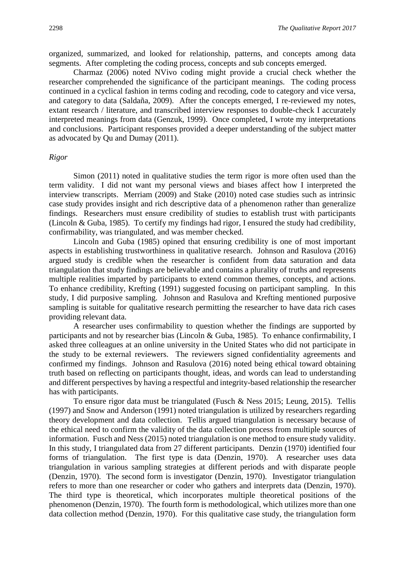organized, summarized, and looked for relationship, patterns, and concepts among data segments. After completing the coding process, concepts and sub concepts emerged.

Charmaz (2006) noted NVivo coding might provide a crucial check whether the researcher comprehended the significance of the participant meanings. The coding process continued in a cyclical fashion in terms coding and recoding, code to category and vice versa, and category to data (Saldaña, 2009). After the concepts emerged, I re-reviewed my notes, extant research / literature, and transcribed interview responses to double-check I accurately interpreted meanings from data (Genzuk, 1999). Once completed, I wrote my interpretations and conclusions. Participant responses provided a deeper understanding of the subject matter as advocated by Qu and Dumay (2011).

# *Rigor*

Simon (2011) noted in qualitative studies the term rigor is more often used than the term validity. I did not want my personal views and biases affect how I interpreted the interview transcripts. Merriam (2009) and Stake (2010) noted case studies such as intrinsic case study provides insight and rich descriptive data of a phenomenon rather than generalize findings. Researchers must ensure credibility of studies to establish trust with participants (Lincoln & Guba, 1985). To certify my findings had rigor, I ensured the study had credibility, confirmability, was triangulated, and was member checked.

Lincoln and Guba (1985) opined that ensuring credibility is one of most important aspects in establishing trustworthiness in qualitative research. Johnson and Rasulova (2016) argued study is credible when the researcher is confident from data saturation and data triangulation that study findings are believable and contains a plurality of truths and represents multiple realities imparted by participants to extend common themes, concepts, and actions. To enhance credibility, Krefting (1991) suggested focusing on participant sampling. In this study, I did purposive sampling. Johnson and Rasulova and Krefting mentioned purposive sampling is suitable for qualitative research permitting the researcher to have data rich cases providing relevant data.

A researcher uses confirmability to question whether the findings are supported by participants and not by researcher bias (Lincoln & Guba, 1985). To enhance confirmability, I asked three colleagues at an online university in the United States who did not participate in the study to be external reviewers. The reviewers signed confidentiality agreements and confirmed my findings. Johnson and Rasulova (2016) noted being ethical toward obtaining truth based on reflecting on participants thought, ideas, and words can lead to understanding and different perspectives by having a respectful and integrity-based relationship the researcher has with participants.

To ensure rigor data must be triangulated (Fusch & Ness 2015; Leung, 2015). Tellis (1997) and Snow and Anderson (1991) noted triangulation is utilized by researchers regarding theory development and data collection. Tellis argued triangulation is necessary because of the ethical need to confirm the validity of the data collection process from multiple sources of information. Fusch and Ness (2015) noted triangulation is one method to ensure study validity. In this study, I triangulated data from 27 different participants. Denzin (1970) identified four forms of triangulation. The first type is data (Denzin, 1970). A researcher uses data triangulation in various sampling strategies at different periods and with disparate people (Denzin, 1970). The second form is investigator (Denzin, 1970). Investigator triangulation refers to more than one researcher or coder who gathers and interprets data (Denzin, 1970). The third type is theoretical, which incorporates multiple theoretical positions of the phenomenon (Denzin, 1970). The fourth form is methodological, which utilizes more than one data collection method (Denzin, 1970). For this qualitative case study, the triangulation form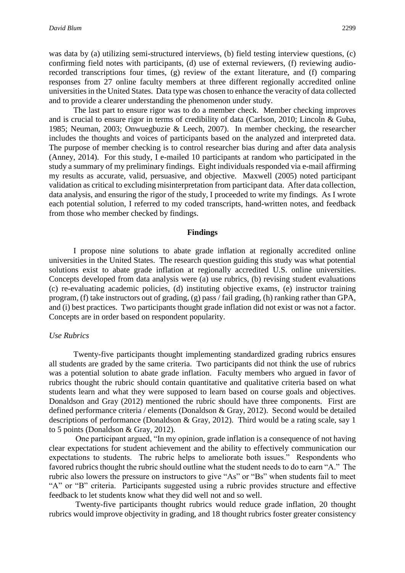*David Blum* 2299

was data by (a) utilizing semi-structured interviews, (b) field testing interview questions, (c) confirming field notes with participants, (d) use of external reviewers, (f) reviewing audiorecorded transcriptions four times, (g) review of the extant literature, and (f) comparing responses from 27 online faculty members at three different regionally accredited online universities in the United States. Data type was chosen to enhance the veracity of data collected and to provide a clearer understanding the phenomenon under study.

The last part to ensure rigor was to do a member check. Member checking improves and is crucial to ensure rigor in terms of credibility of data (Carlson, 2010; Lincoln & Guba, 1985; Neuman, 2003; Onwuegbuzie & Leech, 2007). In member checking, the researcher includes the thoughts and voices of participants based on the analyzed and interpreted data. The purpose of member checking is to control researcher bias during and after data analysis (Anney, 2014). For this study, I e-mailed 10 participants at random who participated in the study a summary of my preliminary findings. Eight individuals responded via e-mail affirming my results as accurate, valid, persuasive, and objective. Maxwell (2005) noted participant validation as critical to excluding misinterpretation from participant data. After data collection, data analysis, and ensuring the rigor of the study, I proceeded to write my findings. As I wrote each potential solution, I referred to my coded transcripts, hand-written notes, and feedback from those who member checked by findings.

#### **Findings**

I propose nine solutions to abate grade inflation at regionally accredited online universities in the United States. The research question guiding this study was what potential solutions exist to abate grade inflation at regionally accredited U.S. online universities. Concepts developed from data analysis were (a) use rubrics, (b) revising student evaluations (c) re-evaluating academic policies, (d) instituting objective exams, (e) instructor training program, (f) take instructors out of grading, (g) pass / fail grading, (h) ranking rather than GPA, and (i) best practices. Two participants thought grade inflation did not exist or was not a factor. Concepts are in order based on respondent popularity.

#### *Use Rubrics*

Twenty-five participants thought implementing standardized grading rubrics ensures all students are graded by the same criteria. Two participants did not think the use of rubrics was a potential solution to abate grade inflation. Faculty members who argued in favor of rubrics thought the rubric should contain quantitative and qualitative criteria based on what students learn and what they were supposed to learn based on course goals and objectives. Donaldson and Gray (2012) mentioned the rubric should have three components. First are defined performance criteria / elements (Donaldson & Gray, 2012). Second would be detailed descriptions of performance (Donaldson & Gray, 2012). Third would be a rating scale, say 1 to 5 points (Donaldson & Gray, 2012).

One participant argued, "In my opinion, grade inflation is a consequence of not having clear expectations for student achievement and the ability to effectively communication our expectations to students. The rubric helps to ameliorate both issues." Respondents who favored rubrics thought the rubric should outline what the student needs to do to earn "A." The rubric also lowers the pressure on instructors to give "As" or "Bs" when students fail to meet "A" or "B" criteria. Participants suggested using a rubric provides structure and effective feedback to let students know what they did well not and so well.

Twenty-five participants thought rubrics would reduce grade inflation, 20 thought rubrics would improve objectivity in grading, and 18 thought rubrics foster greater consistency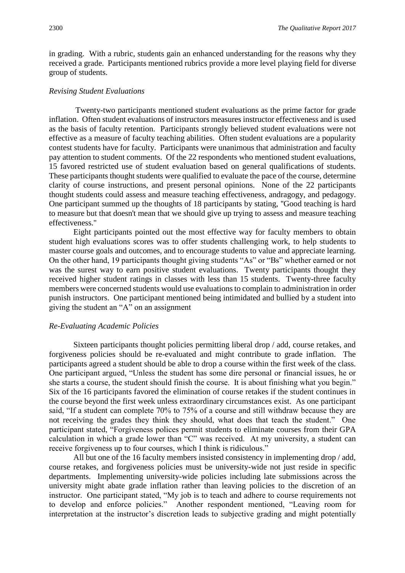in grading. With a rubric, students gain an enhanced understanding for the reasons why they received a grade. Participants mentioned rubrics provide a more level playing field for diverse group of students.

# *Revising Student Evaluations*

Twenty-two participants mentioned student evaluations as the prime factor for grade inflation. Often student evaluations of instructors measures instructor effectiveness and is used as the basis of faculty retention. Participants strongly believed student evaluations were not effective as a measure of faculty teaching abilities. Often student evaluations are a popularity contest students have for faculty. Participants were unanimous that administration and faculty pay attention to student comments. Of the 22 respondents who mentioned student evaluations, 15 favored restricted use of student evaluation based on general qualifications of students. These participants thought students were qualified to evaluate the pace of the course, determine clarity of course instructions, and present personal opinions. None of the 22 participants thought students could assess and measure teaching effectiveness, andragogy, and pedagogy. One participant summed up the thoughts of 18 participants by stating, ''Good teaching is hard to measure but that doesn't mean that we should give up trying to assess and measure teaching effectiveness.''

Eight participants pointed out the most effective way for faculty members to obtain student high evaluations scores was to offer students challenging work, to help students to master course goals and outcomes, and to encourage students to value and appreciate learning. On the other hand, 19 participants thought giving students "As" or "Bs" whether earned or not was the surest way to earn positive student evaluations. Twenty participants thought they received higher student ratings in classes with less than 15 students. Twenty-three faculty members were concerned students would use evaluations to complain to administration in order punish instructors. One participant mentioned being intimidated and bullied by a student into giving the student an "A" on an assignment

# *Re-Evaluating Academic Policies*

Sixteen participants thought policies permitting liberal drop / add, course retakes, and forgiveness policies should be re-evaluated and might contribute to grade inflation. The participants agreed a student should be able to drop a course within the first week of the class. One participant argued, "Unless the student has some dire personal or financial issues, he or she starts a course, the student should finish the course. It is about finishing what you begin." Six of the 16 participants favored the elimination of course retakes if the student continues in the course beyond the first week unless extraordinary circumstances exist. As one participant said, "If a student can complete 70% to 75% of a course and still withdraw because they are not receiving the grades they think they should, what does that teach the student." One participant stated, "Forgiveness polices permit students to eliminate courses from their GPA calculation in which a grade lower than "C" was received. At my university, a student can receive forgiveness up to four courses, which I think is ridiculous."

All but one of the 16 faculty members insisted consistency in implementing drop / add, course retakes, and forgiveness policies must be university-wide not just reside in specific departments. Implementing university-wide policies including late submissions across the university might abate grade inflation rather than leaving policies to the discretion of an instructor. One participant stated, "My job is to teach and adhere to course requirements not to develop and enforce policies." Another respondent mentioned, "Leaving room for interpretation at the instructor's discretion leads to subjective grading and might potentially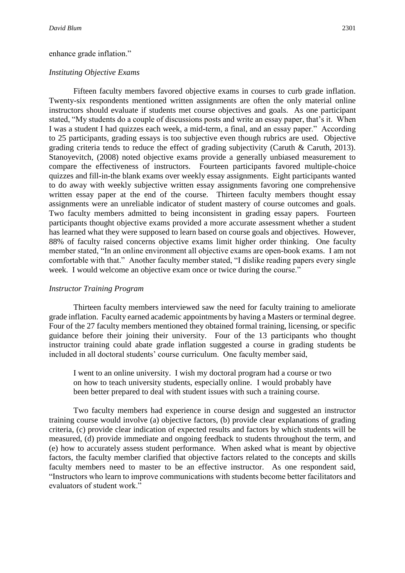# enhance grade inflation."

# *Instituting Objective Exams*

Fifteen faculty members favored objective exams in courses to curb grade inflation. Twenty-six respondents mentioned written assignments are often the only material online instructors should evaluate if students met course objectives and goals. As one participant stated, "My students do a couple of discussions posts and write an essay paper, that's it. When I was a student I had quizzes each week, a mid-term, a final, and an essay paper." According to 25 participants, grading essays is too subjective even though rubrics are used. Objective grading criteria tends to reduce the effect of grading subjectivity (Caruth & Caruth, 2013). Stanoyevitch, (2008) noted objective exams provide a generally unbiased measurement to compare the effectiveness of instructors. Fourteen participants favored multiple-choice quizzes and fill-in-the blank exams over weekly essay assignments. Eight participants wanted to do away with weekly subjective written essay assignments favoring one comprehensive written essay paper at the end of the course. Thirteen faculty members thought essay assignments were an unreliable indicator of student mastery of course outcomes and goals. Two faculty members admitted to being inconsistent in grading essay papers. Fourteen participants thought objective exams provided a more accurate assessment whether a student has learned what they were supposed to learn based on course goals and objectives. However, 88% of faculty raised concerns objective exams limit higher order thinking. One faculty member stated, "In an online environment all objective exams are open-book exams. I am not comfortable with that." Another faculty member stated, "I dislike reading papers every single week. I would welcome an objective exam once or twice during the course."

# *Instructor Training Program*

Thirteen faculty members interviewed saw the need for faculty training to ameliorate grade inflation. Faculty earned academic appointments by having a Masters or terminal degree. Four of the 27 faculty members mentioned they obtained formal training, licensing, or specific guidance before their joining their university. Four of the 13 participants who thought instructor training could abate grade inflation suggested a course in grading students be included in all doctoral students' course curriculum. One faculty member said,

I went to an online university. I wish my doctoral program had a course or two on how to teach university students, especially online. I would probably have been better prepared to deal with student issues with such a training course.

Two faculty members had experience in course design and suggested an instructor training course would involve (a) objective factors, (b) provide clear explanations of grading criteria, (c) provide clear indication of expected results and factors by which students will be measured, (d) provide immediate and ongoing feedback to students throughout the term, and (e) how to accurately assess student performance. When asked what is meant by objective factors, the faculty member clarified that objective factors related to the concepts and skills faculty members need to master to be an effective instructor. As one respondent said, "Instructors who learn to improve communications with students become better facilitators and evaluators of student work."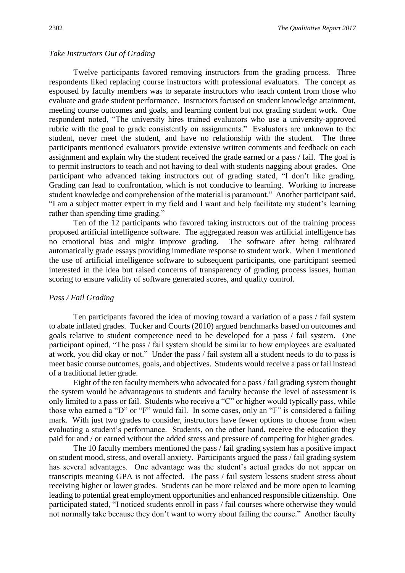#### *Take Instructors Out of Grading*

Twelve participants favored removing instructors from the grading process. Three respondents liked replacing course instructors with professional evaluators. The concept as espoused by faculty members was to separate instructors who teach content from those who evaluate and grade student performance. Instructors focused on student knowledge attainment, meeting course outcomes and goals, and learning content but not grading student work. One respondent noted, "The university hires trained evaluators who use a university-approved rubric with the goal to grade consistently on assignments." Evaluators are unknown to the student, never meet the student, and have no relationship with the student. The three participants mentioned evaluators provide extensive written comments and feedback on each assignment and explain why the student received the grade earned or a pass / fail. The goal is to permit instructors to teach and not having to deal with students nagging about grades. One participant who advanced taking instructors out of grading stated, "I don't like grading. Grading can lead to confrontation, which is not conducive to learning. Working to increase student knowledge and comprehension of the material is paramount." Another participant said, "I am a subject matter expert in my field and I want and help facilitate my student's learning rather than spending time grading."

Ten of the 12 participants who favored taking instructors out of the training process proposed artificial intelligence software. The aggregated reason was artificial intelligence has no emotional bias and might improve grading. The software after being calibrated automatically grade essays providing immediate response to student work. When I mentioned the use of artificial intelligence software to subsequent participants, one participant seemed interested in the idea but raised concerns of transparency of grading process issues, human scoring to ensure validity of software generated scores, and quality control.

## *Pass / Fail Grading*

Ten participants favored the idea of moving toward a variation of a pass / fail system to abate inflated grades. Tucker and Courts (2010) argued benchmarks based on outcomes and goals relative to student competence need to be developed for a pass / fail system. One participant opined, "The pass / fail system should be similar to how employees are evaluated at work, you did okay or not." Under the pass / fail system all a student needs to do to pass is meet basic course outcomes, goals, and objectives. Students would receive a pass or fail instead of a traditional letter grade.

Eight of the ten faculty members who advocated for a pass / fail grading system thought the system would be advantageous to students and faculty because the level of assessment is only limited to a pass or fail. Students who receive a "C" or higher would typically pass, while those who earned a "D" or "F" would fail. In some cases, only an "F" is considered a failing mark. With just two grades to consider, instructors have fewer options to choose from when evaluating a student's performance. Students, on the other hand, receive the education they paid for and / or earned without the added stress and pressure of competing for higher grades.

The 10 faculty members mentioned the pass / fail grading system has a positive impact on student mood, stress, and overall anxiety. Participants argued the pass / fail grading system has several advantages. One advantage was the student's actual grades do not appear on transcripts meaning GPA is not affected. The pass / fail system lessens student stress about receiving higher or lower grades. Students can be more relaxed and be more open to learning leading to potential great employment opportunities and enhanced responsible citizenship. One participated stated, "I noticed students enroll in pass / fail courses where otherwise they would not normally take because they don't want to worry about failing the course." Another faculty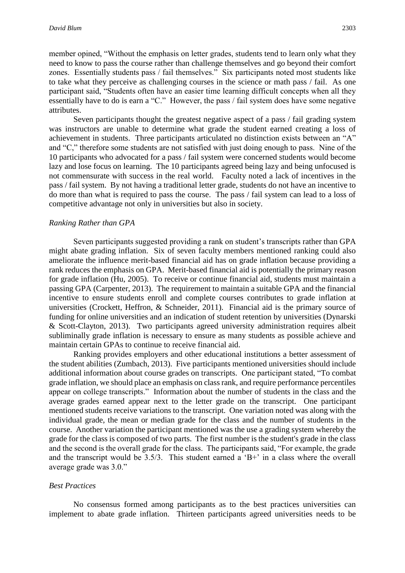member opined, "Without the emphasis on letter grades, students tend to learn only what they need to know to pass the course rather than challenge themselves and go beyond their comfort zones. Essentially students pass / fail themselves." Six participants noted most students like to take what they perceive as challenging courses in the science or math pass / fail. As one participant said, "Students often have an easier time learning difficult concepts when all they essentially have to do is earn a "C." However, the pass / fail system does have some negative attributes.

Seven participants thought the greatest negative aspect of a pass / fail grading system was instructors are unable to determine what grade the student earned creating a loss of achievement in students. Three participants articulated no distinction exists between an "A" and "C," therefore some students are not satisfied with just doing enough to pass. Nine of the 10 participants who advocated for a pass / fail system were concerned students would become lazy and lose focus on learning. The 10 participants agreed being lazy and being unfocused is not commensurate with success in the real world. Faculty noted a lack of incentives in the pass / fail system. By not having a traditional letter grade, students do not have an incentive to do more than what is required to pass the course. The pass / fail system can lead to a loss of competitive advantage not only in universities but also in society.

#### *Ranking Rather than GPA*

Seven participants suggested providing a rank on student's transcripts rather than GPA might abate grading inflation. Six of seven faculty members mentioned ranking could also ameliorate the influence merit-based financial aid has on grade inflation because providing a rank reduces the emphasis on GPA. Merit-based financial aid is potentially the primary reason for grade inflation (Hu, 2005). To receive or continue financial aid, students must maintain a passing GPA (Carpenter, 2013). The requirement to maintain a suitable GPA and the financial incentive to ensure students enroll and complete courses contributes to grade inflation at universities (Crockett, Heffron, & Schneider, 2011). Financial aid is the primary source of funding for online universities and an indication of student retention by universities (Dynarski & Scott-Clayton, 2013). Two participants agreed university administration requires albeit subliminally grade inflation is necessary to ensure as many students as possible achieve and maintain certain GPAs to continue to receive financial aid.

Ranking provides employers and other educational institutions a better assessment of the student abilities (Zumbach, 2013). Five participants mentioned universities should include additional information about course grades on transcripts. One participant stated, "To combat grade inflation, we should place an emphasis on class rank, and require performance percentiles appear on college transcripts." Information about the number of students in the class and the average grades earned appear next to the letter grade on the transcript. One participant mentioned students receive variations to the transcript. One variation noted was along with the individual grade, the mean or median grade for the class and the number of students in the course. Another variation the participant mentioned was the use a grading system whereby the grade for the class is composed of two parts. The first number is the student's grade in the class and the second is the overall grade for the class. The participants said, "For example, the grade and the transcript would be  $3.5/3$ . This student earned a 'B+' in a class where the overall average grade was 3.0."

# *Best Practices*

No consensus formed among participants as to the best practices universities can implement to abate grade inflation. Thirteen participants agreed universities needs to be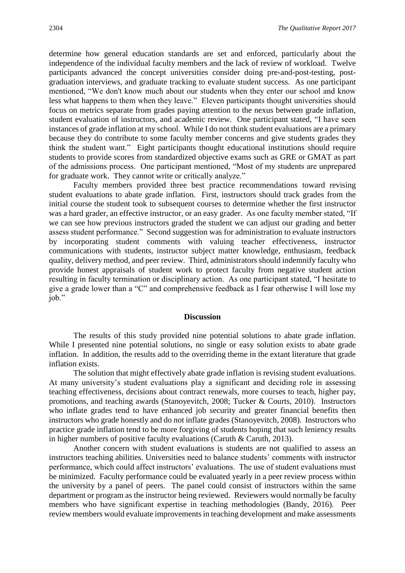determine how general education standards are set and enforced, particularly about the independence of the individual faculty members and the lack of review of workload. Twelve participants advanced the concept universities consider doing pre-and-post-testing, postgraduation interviews, and graduate tracking to evaluate student success. As one participant mentioned, "We don't know much about our students when they enter our school and know less what happens to them when they leave." Eleven participants thought universities should focus on metrics separate from grades paying attention to the nexus between grade inflation, student evaluation of instructors, and academic review. One participant stated, "I have seen instances of grade inflation at my school. While I do not think student evaluations are a primary because they do contribute to some faculty member concerns and give students grades they think the student want." Eight participants thought educational institutions should require students to provide scores from standardized objective exams such as GRE or GMAT as part of the admissions process. One participant mentioned, "Most of my students are unprepared for graduate work. They cannot write or critically analyze."

Faculty members provided three best practice recommendations toward revising student evaluations to abate grade inflation. First, instructors should track grades from the initial course the student took to subsequent courses to determine whether the first instructor was a hard grader, an effective instructor, or an easy grader.As one faculty member stated, "If we can see how previous instructors graded the student we can adjust our grading and better assess student performance." Second suggestion was for administration to evaluate instructors by incorporating student comments with valuing teacher effectiveness, instructor communications with students, instructor subject matter knowledge, enthusiasm, feedback quality, delivery method, and peer review. Third, administrators should indemnify faculty who provide honest appraisals of student work to protect faculty from negative student action resulting in faculty termination or disciplinary action. As one participant stated, "I hesitate to give a grade lower than a "C" and comprehensive feedback as I fear otherwise I will lose my job."

# **Discussion**

The results of this study provided nine potential solutions to abate grade inflation. While I presented nine potential solutions, no single or easy solution exists to abate grade inflation. In addition, the results add to the overriding theme in the extant literature that grade inflation exists.

The solution that might effectively abate grade inflation is revising student evaluations. At many university's student evaluations play a significant and deciding role in assessing teaching effectiveness, decisions about contract renewals, more courses to teach, higher pay, promotions, and teaching awards (Stanoyevitch, 2008; Tucker & Courts, 2010). Instructors who inflate grades tend to have enhanced job security and greater financial benefits then instructors who grade honestly and do not inflate grades (Stanoyevitch, 2008). Instructors who practice grade inflation tend to be more forgiving of students hoping that such leniency results in higher numbers of positive faculty evaluations (Caruth & Caruth, 2013).

Another concern with student evaluations is students are not qualified to assess an instructors teaching abilities. Universities need to balance students' comments with instructor performance, which could affect instructors' evaluations. The use of student evaluations must be minimized. Faculty performance could be evaluated yearly in a peer review process within the university by a panel of peers. The panel could consist of instructors within the same department or program as the instructor being reviewed. Reviewers would normally be faculty members who have significant expertise in teaching methodologies (Bandy, 2016). Peer review members would evaluate improvements in teaching development and make assessments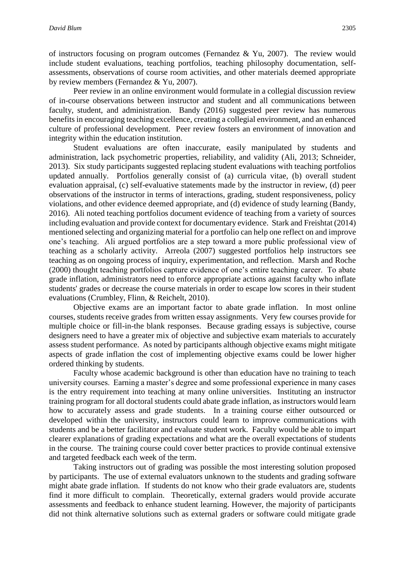of instructors focusing on program outcomes (Fernandez & Yu, 2007). The review would include student evaluations, teaching portfolios, teaching philosophy documentation, selfassessments, observations of course room activities, and other materials deemed appropriate by review members (Fernandez & Yu, 2007).

Peer review in an online environment would formulate in a collegial discussion review of in-course observations between instructor and student and all communications between faculty, student, and administration. Bandy (2016) suggested peer review has numerous benefits in encouraging teaching excellence, creating a collegial environment, and an enhanced culture of professional development. Peer review fosters an environment of innovation and integrity within the education institution.

Student evaluations are often inaccurate, easily manipulated by students and administration, lack psychometric properties, reliability, and validity (Ali, 2013; Schneider, 2013). Six study participants suggested replacing student evaluations with teaching portfolios updated annually. Portfolios generally consist of (a) curricula vitae, (b) overall student evaluation appraisal, (c) self-evaluative statements made by the instructor in review, (d) peer observations of the instructor in terms of interactions, grading, student responsiveness, policy violations, and other evidence deemed appropriate, and (d) evidence of study learning (Bandy, 2016). Ali noted teaching portfolios document evidence of teaching from a variety of sources including evaluation and provide context for documentary evidence. Stark and Freishtat (2014) mentioned selecting and organizing material for a portfolio can help one reflect on and improve one's teaching. Ali argued portfolios are a step toward a more public professional view of teaching as a scholarly activity. Arreola (2007) suggested portfolios help instructors see teaching as on ongoing process of inquiry, experimentation, and reflection. Marsh and Roche (2000) thought teaching portfolios capture evidence of one's entire teaching career. To abate grade inflation, administrators need to enforce appropriate actions against faculty who inflate students' grades or decrease the course materials in order to escape low scores in their student evaluations (Crumbley, Flinn, & Reichelt, 2010).

Objective exams are an important factor to abate grade inflation. In most online courses, students receive grades from written essay assignments. Very few courses provide for multiple choice or fill-in-the blank responses. Because grading essays is subjective, course designers need to have a greater mix of objective and subjective exam materials to accurately assess student performance. As noted by participants although objective exams might mitigate aspects of grade inflation the cost of implementing objective exams could be lower higher ordered thinking by students.

Faculty whose academic background is other than education have no training to teach university courses. Earning a master's degree and some professional experience in many cases is the entry requirement into teaching at many online universities. Instituting an instructor training program for all doctoral students could abate grade inflation, as instructors would learn how to accurately assess and grade students. In a training course either outsourced or developed within the university, instructors could learn to improve communications with students and be a better facilitator and evaluate student work. Faculty would be able to impart clearer explanations of grading expectations and what are the overall expectations of students in the course. The training course could cover better practices to provide continual extensive and targeted feedback each week of the term.

Taking instructors out of grading was possible the most interesting solution proposed by participants. The use of external evaluators unknown to the students and grading software might abate grade inflation. If students do not know who their grade evaluators are, students find it more difficult to complain. Theoretically, external graders would provide accurate assessments and feedback to enhance student learning. However, the majority of participants did not think alternative solutions such as external graders or software could mitigate grade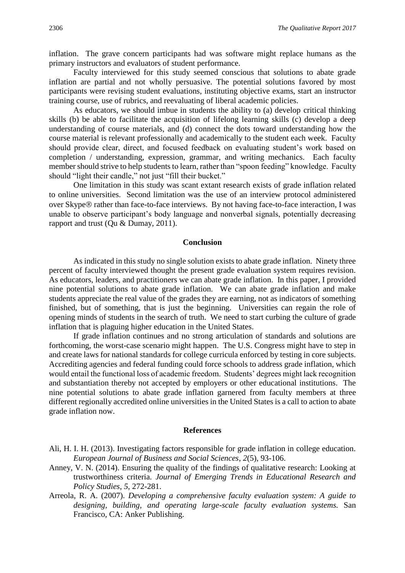inflation. The grave concern participants had was software might replace humans as the primary instructors and evaluators of student performance.

Faculty interviewed for this study seemed conscious that solutions to abate grade inflation are partial and not wholly persuasive. The potential solutions favored by most participants were revising student evaluations, instituting objective exams, start an instructor training course, use of rubrics, and reevaluating of liberal academic policies.

As educators, we should imbue in students the ability to (a) develop critical thinking skills (b) be able to facilitate the acquisition of lifelong learning skills (c) develop a deep understanding of course materials, and (d) connect the dots toward understanding how the course material is relevant professionally and academically to the student each week. Faculty should provide clear, direct, and focused feedback on evaluating student's work based on completion / understanding, expression, grammar, and writing mechanics. Each faculty member should strive to help students to learn, rather than "spoon feeding" knowledge. Faculty should "light their candle," not just "fill their bucket."

One limitation in this study was scant extant research exists of grade inflation related to online universities. Second limitation was the use of an interview protocol administered over Skype® rather than face-to-face interviews. By not having face-to-face interaction, I was unable to observe participant's body language and nonverbal signals, potentially decreasing rapport and trust (Qu & Dumay, 2011).

## **Conclusion**

As indicated in this study no single solution exists to abate grade inflation. Ninety three percent of faculty interviewed thought the present grade evaluation system requires revision. As educators, leaders, and practitioners we can abate grade inflation. In this paper, I provided nine potential solutions to abate grade inflation. We can abate grade inflation and make students appreciate the real value of the grades they are earning, not as indicators of something finished, but of something, that is just the beginning. Universities can regain the role of opening minds of students in the search of truth. We need to start curbing the culture of grade inflation that is plaguing higher education in the United States.

If grade inflation continues and no strong articulation of standards and solutions are forthcoming, the worst-case scenario might happen. The U.S. Congress might have to step in and create laws for national standards for college curricula enforced by testing in core subjects. Accrediting agencies and federal funding could force schools to address grade inflation, which would entail the functional loss of academic freedom. Students' degrees might lack recognition and substantiation thereby not accepted by employers or other educational institutions. The nine potential solutions to abate grade inflation garnered from faculty members at three different regionally accredited online universities in the United States is a call to action to abate grade inflation now.

# **References**

- Ali, H. I. H. (2013). Investigating factors responsible for grade inflation in college education. *European Journal of Business and Social Sciences*, *2*(5), 93-106.
- Anney, V. N. (2014). Ensuring the quality of the findings of qualitative research: Looking at trustworthiness criteria. *Journal of Emerging Trends in Educational Research and Policy Studies*, *5*, 272-281.
- Arreola, R. A. (2007). *Developing a comprehensive faculty evaluation system: A guide to designing, building, and operating large-scale faculty evaluation systems.* San Francisco, CA: Anker Publishing.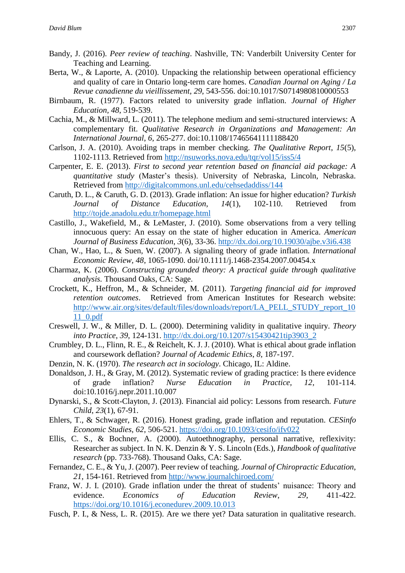- Bandy, J. (2016). *Peer review of teaching*. Nashville, TN: Vanderbilt University Center for Teaching and Learning.
- Berta, W., & Laporte, A. (2010). Unpacking the relationship between operational efficiency and quality of care in Ontario long-term care homes. *Canadian Journal on Aging / La Revue canadienne du vieillissement*, *29*, 543-556. doi:10.1017/S0714980810000553
- Birnbaum, R. (1977). Factors related to university grade inflation. *Journal of Higher Education, 48*, 519-539.
- Cachia, M., & Millward, L. (2011). The telephone medium and semi-structured interviews: A complementary fit. *Qualitative Research in Organizations and Management: An International Journal*, *6*, 265-277. doi:10.1108/17465641111188420
- Carlson, J. A. (2010). Avoiding traps in member checking. *The Qualitative Report*, *15*(5), 1102-1113. Retrieved from<http://nsuworks.nova.edu/tqr/vol15/iss5/4>
- Carpenter, E. E. (2013). *First to second year retention based on financial aid package: A quantitative study* (Master's thesis). University of Nebraska, Lincoln, Nebraska. Retrieved from<http://digitalcommons.unl.edu/cehsedaddiss/144>
- Caruth, D. L., & Caruth, G. D. (2013). Grade inflation: An issue for higher education? *Turkish Journal of Distance Education*, *14*(1), 102-110. Retrieved from <http://tojde.anadolu.edu.tr/homepage.html>
- Castillo, J., Wakefield, M., & LeMaster, J. (2010). Some observations from a very telling innocuous query: An essay on the state of higher education in America. *American Journal of Business Education*, *3*(6), 33-36.<http://dx.doi.org/10.19030/ajbe.v3i6.438>
- Chan, W., Hao, L., & Suen, W. (2007). A signaling theory of grade inflation. *International Economic Review, 48*, 1065-1090. doi/10.1111/j.1468-2354.2007.00454.x
- Charmaz, K. (2006). *Constructing grounded theory: A practical guide through qualitative analysis.* Thousand Oaks, CA: Sage.
- Crockett, K., Heffron, M., & Schneider, M. (2011). *Targeting financial aid for improved retention outcomes*. Retrieved from American Institutes for Research website: [http://www.air.org/sites/default/files/downloads/report/LA\\_PELL\\_STUDY\\_report\\_10](http://www.air.org/sites/default/files/downloads/report/LA_PELL_STUDY_report_1011_0.pdf) [11\\_0.pdf](http://www.air.org/sites/default/files/downloads/report/LA_PELL_STUDY_report_1011_0.pdf)
- Creswell, J. W., & Miller, D. L. (2000). Determining validity in qualitative inquiry. *Theory into Practice*, *39*, 124-131. [http://dx.doi.org/10.1207/s15430421tip3903\\_2](http://dx.doi.org/10.1207/s15430421tip3903_2)
- Crumbley, D. L., Flinn, R. E., & Reichelt, K. J. J. (2010). What is ethical about grade inflation and coursework deflation? *Journal of Academic Ethics*, *8*, 187-197.
- Denzin, N. K. (1970). *The research act in sociology*. Chicago, IL: Aldine.
- Donaldson, J. H., & Gray, M. (2012). Systematic review of grading practice: Is there evidence of grade inflation? *Nurse Education in Practice, 12*, 101-114. doi:10.1016/j.nepr.2011.10.007
- Dynarski, S., & Scott-Clayton, J. (2013). Financial aid policy: Lessons from research*. Future Child*, *23*(1), 67-91.
- Ehlers, T., & Schwager, R. (2016). Honest grading, grade inflation and reputation. *CESinfo Economic Studies*, *62*, 506-521.<https://doi.org/10.1093/cesifo/ifv022>
- Ellis, C. S., & Bochner, A. (2000). Autoethnography, personal narrative, reflexivity: Researcher as subject. In N. K. Denzin & Y. S. Lincoln (Eds.), *Handbook of qualitative research* (pp. 733-768). Thousand Oaks, CA: Sage.
- Fernandez, C. E., & Yu, J. (2007). Peer review of teaching. *Journal of Chiropractic Education*, *21*, 154-161. Retrieved from <http://www.journalchiroed.com/>
- Franz, W. J. I. (2010). Grade inflation under the threat of students' nuisance: Theory and evidence. *Economics of Education Review*, *29*, 411-422. <https://doi.org/10.1016/j.econedurev.2009.10.013>
- Fusch, P. I., & Ness, L. R. (2015). Are we there yet? Data saturation in qualitative research.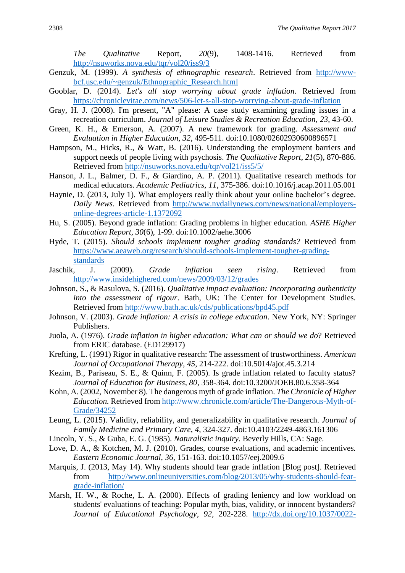*The Qualitative* Report, *20*(9), 1408-1416. Retrieved from <http://nsuworks.nova.edu/tqr/vol20/iss9/3>

- Genzuk, M. (1999). *A synthesis of ethnographic research*. Retrieved from [http://www](http://www-bcf.usc.edu/~genzuk/Ethnographic_Research.html)[bcf.usc.edu/~genzuk/Ethnographic\\_Research.html](http://www-bcf.usc.edu/~genzuk/Ethnographic_Research.html)
- Gooblar, D. (2014). *Let's all stop worrying about grade inflation*. Retrieved from <https://chroniclevitae.com/news/506-let-s-all-stop-worrying-about-grade-inflation>
- Gray, H. J. (2008). I'm present, "A" please: A case study examining grading issues in a recreation curriculum. *Journal of Leisure Studies & Recreation Education*, *23*, 43-60.
- Green, K. H., & Emerson, A. (2007). A new framework for grading. *Assessment and Evaluation in Higher Education*, *32*, 495-511. doi:10.1080/02602930600896571
- Hampson, M., Hicks, R., & Watt, B. (2016). Understanding the employment barriers and support needs of people living with psychosis. *The Qualitative Report*, *21*(5), 870-886. Retrieved from<http://nsuworks.nova.edu/tqr/vol21/iss5/5/>
- Hanson, J. L., Balmer, D. F., & Giardino, A. P. (2011). Qualitative research methods for medical educators. *Academic Pediatrics*, *11*, 375-386. doi:10.1016/j.acap.2011.05.001
- Haynie, D. (2013, July 1). What employers really think about your online bachelor's degree. *Daily News.* Retrieved from [http://www.nydailynews.com/news/national/employers](http://www.nydailynews.com/news/national/employers-online-degrees-article-1.1372092)[online-degrees-article-1.1372092](http://www.nydailynews.com/news/national/employers-online-degrees-article-1.1372092)
- Hu, S. (2005). Beyond grade inflation: Grading problems in higher education. *ASHE Higher Education Report*, *30*(6), 1-99. doi:10.1002/aehe.3006
- Hyde, T. (2015). *Should schools implement tougher grading standards?* Retrieved from [https://www.aeaweb.org/research/should-schools-implement-tougher-grading](https://www.aeaweb.org/research/should-schools-implement-tougher-grading-standards)[standards](https://www.aeaweb.org/research/should-schools-implement-tougher-grading-standards)
- Jaschik, J. (2009). *Grade inflation seen rising*. Retrieved from <http://www.insidehighered.com/news/2009/03/12/grades>
- Johnson, S., & Rasulova, S. (2016). *Qualitative impact evaluation: Incorporating authenticity into the assessment of rigour*. Bath, UK: The Center for Development Studies. Retrieved from<http://www.bath.ac.uk/cds/publications/bpd45.pdf>
- Johnson, V. (2003). *Grade inflation: A crisis in college education*. New York, NY: Springer Publishers.
- Juola, A. (1976). *Grade inflation in higher education: What can or should we do*? Retrieved from ERIC database. (ED129917)
- Krefting, L. (1991) Rigor in qualitative research: The assessment of trustworthiness. *American Journal of Occupational Therapy*, *45*, 214-222. doi:10.5014/ajot.45.3.214
- Kezim, B., Pariseau, S. E., & Quinn, F. (2005). Is grade inflation related to faculty status? *Journal of Education for Business*, *80*, 358-364. doi:10.3200/JOEB.80.6.358-364
- Kohn, A. (2002, November 8). The dangerous myth of grade inflation. *The Chronicle of Higher Education.* Retrieved from [http://www.chronicle.com/article/The-Dangerous-Myth-of-](http://www.chronicle.com/article/The-Dangerous-Myth-of-Grade/34252)[Grade/34252](http://www.chronicle.com/article/The-Dangerous-Myth-of-Grade/34252)
- Leung, L. (2015). Validity, reliability, and generalizability in qualitative research. *Journal of Family Medicine and Primary Care*, *4*, 324-327. doi:10.4103/2249-4863.161306
- Lincoln, Y. S., & Guba, E. G. (1985). *Naturalistic inquiry.* Beverly Hills, CA: Sage.
- Love, D. A., & Kotchen, M. J. (2010). Grades, course evaluations, and academic incentives*. Eastern Economic Journal*, *36*, 151-163. doi:10.1057/eej.2009.6
- Marquis, J. (2013, May 14). Why students should fear grade inflation [Blog post]. Retrieved from [http://www.onlineuniversities.com/blog/2013/05/why-students-should-fear](http://www.onlineuniversities.com/blog/2013/05/why-students-should-fear-grade-inflation/)[grade-inflation/](http://www.onlineuniversities.com/blog/2013/05/why-students-should-fear-grade-inflation/)
- Marsh, H. W., & Roche, L. A. (2000). Effects of grading leniency and low workload on students' evaluations of teaching: Popular myth, bias, validity, or innocent bystanders? *Journal of Educational Psychology*, *92*, 202-228. [http://dx.doi.org/10.1037/0022-](http://dx.doi.org/10.1037/0022-0663.92.1.202)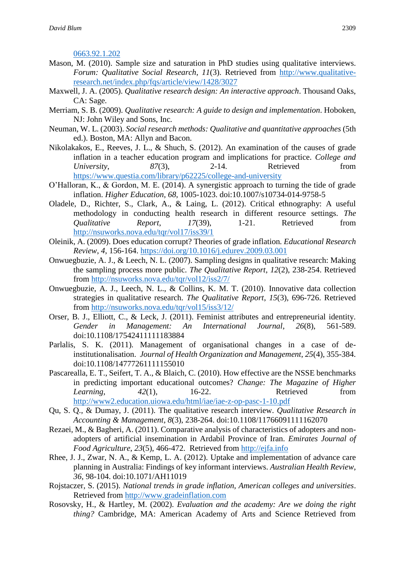[0663.92.1.202](http://dx.doi.org/10.1037/0022-0663.92.1.202)

- Mason, M. (2010). Sample size and saturation in PhD studies using qualitative interviews. *Forum: Qualitative Social Research*, *11*(3). Retrieved from [http://www.qualitative](http://www.qualitative-research.net/index.php/fqs/article/view/1428/3027)[research.net/index.php/fqs/article/view/1428/3027](http://www.qualitative-research.net/index.php/fqs/article/view/1428/3027)
- Maxwell, J. A. (2005). *Qualitative research design: An interactive approach*. Thousand Oaks, CA: Sage.
- Merriam, S. B. (2009). *Qualitative research: A guide to design and implementation*. Hoboken, NJ: John Wiley and Sons, Inc*.*
- Neuman, W. L. (2003). *Social research methods: Qualitative and quantitative approaches* (5th ed.). Boston, MA: Allyn and Bacon.
- Nikolakakos, E., Reeves, J. L., & Shuch, S. (2012). An examination of the causes of grade inflation in a teacher education program and implications for practice. *College and University*,  $87(3)$ , 2-14. Retrieved from <https://www.questia.com/library/p62225/college-and-university>
- O'Halloran, K., & Gordon, M. E. (2014). A synergistic approach to turning the tide of grade inflation. *Higher Education*, *68*, 1005-1023. doi:10.1007/s10734-014-9758-5
- Oladele, D., Richter, S., Clark, A., & Laing, L. (2012). Critical ethnography: A useful methodology in conducting health research in different resource settings. *The Qualitative Report*, *17*(39), 1-21. Retrieved from <http://nsuworks.nova.edu/tqr/vol17/iss39/1>
- Oleinik, A. (2009). Does education corrupt? Theories of grade inflation*. Educational Research Review*, *4*, 156-164.<https://doi.org/10.1016/j.edurev.2009.03.001>
- Onwuegbuzie, A. J., & Leech, N. L. (2007). Sampling designs in qualitative research: Making the sampling process more public. *The Qualitative Report*, *12*(2), 238-254. Retrieved from<http://nsuworks.nova.edu/tqr/vol12/iss2/7/>
- Onwuegbuzie, A. J., Leech, N. L., & Collins, K. M. T. (2010). Innovative data collection strategies in qualitative research. *The Qualitative Report*, *15*(3), 696-726. Retrieved from<http://nsuworks.nova.edu/tqr/vol15/iss3/12/>
- Orser, B. J., Elliott, C., & Leck, J. (2011). Feminist attributes and entrepreneurial identity. *Gender in Management: An International Journal*, *26*(8), 561-589. doi:10.1108/17542411111183884
- Parlalis, S. K. (2011). Management of organisational changes in a case of deinstitutionalisation. *Journal of Health Organization and Management*, *25*(4), 355-384. doi:10.1108/14777261111155010
- Pascarealla, E. T., Seifert, T. A., & Blaich, C. (2010). How effective are the NSSE benchmarks in predicting important educational outcomes? *Change: The Magazine of Higher Learning*,  $42(1)$ , 16-22. Retrieved from <http://www2.education.uiowa.edu/html/iae/iae-z-op-pasc-1-10.pdf>
- Qu, S. Q., & Dumay, J. (2011). The qualitative research interview. *Qualitative Research in Accounting & Management*, *8*(3), 238-264. doi:10.1108/11766091111162070
- Rezaei, M., & Bagheri, A. (2011). Comparative analysis of characteristics of adopters and nonadopters of artificial insemination in Ardabil Province of Iran. *Emirates Journal of Food Agriculture*, *23*(5), 466-472. Retrieved from [http://ejfa.info](http://ejfa.info/)
- Rhee, J. J., Zwar, N. A., & Kemp, L. A. (2012). Uptake and implementation of advance care planning in Australia: Findings of key informant interviews. *Australian Health Review*, *36*, 98-104. doi:10.1071/AH11019
- Rojstaczer, S. (2015). *National trends in grade inflation, American colleges and universities*. Retrieved from [http://www.gradeinflation.com](http://www.gradeinflation.com/)
- Rosovsky, H., & Hartley, M. (2002). *Evaluation and the academy: Are we doing the right thing?* Cambridge, MA: American Academy of Arts and Science Retrieved from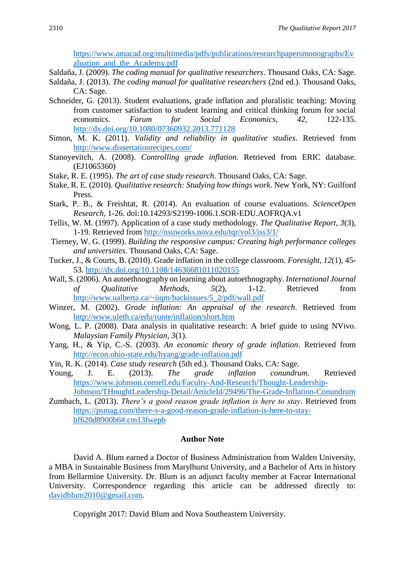[https://www.amacad.org/multimedia/pdfs/publications/researchpapersmonographs/Ev](https://www.amacad.org/multimedia/pdfs/publications/researchpapersmonographs/Evaluation_and_the_Academy.pdf) [aluation\\_and\\_the\\_Academy.pdf](https://www.amacad.org/multimedia/pdfs/publications/researchpapersmonographs/Evaluation_and_the_Academy.pdf)

Saldaña, J. (2009). *The coding manual for qualitative researchers*. Thousand Oaks, CA: Sage.

- Saldaña, J. (2013). *The coding manual for qualitative researchers* (2nd ed.). Thousand Oaks, CA: Sage.
- Schneider, G. (2013). Student evaluations, grade inflation and pluralistic teaching: Moving from customer satisfaction to student learning and critical thinking forum for social economics. *Forum for Social Economics*, *42*, 122-135. <http://dx.doi.org/10.1080/07360932.2013.771128>
- Simon, M. K. (2011). *Validity and reliability in qualitative studies*. Retrieved from <http://www.dissertationrecipes.com/>
- Stanoyevitch, A. (2008). *Controlling grade inflation*. Retrieved from ERIC database. (EJ1065360)
- Stake, R. E. (1995). *The art of case study research*. Thousand Oaks, CA: Sage.
- Stake, R. E. (2010). *Qualitative research: Studying how things work*. New York, NY: Guilford Press.
- Stark, P. B., & Freishtat, R. (2014). An evaluation of course evaluations. *ScienceOpen Research*, 1-26. doi:10.14293/S2199-1006.1.SOR-EDU.AOFRQA.v1
- Tellis, W. M. (1997). Application of a case study methodology. *The Qualitative Report, 3*(3), 1-19. Retrieved from<http://nsuworks.nova.edu/tqr/vol3/iss3/1/>
- Tierney, W. G. (1999). *Building the responsive campus: Creating high performance colleges and universities*. Thousand Oaks, CA: Sage.
- Tucker, J., & Courts, B. (2010). Grade inflation in the college classroom. *Foresight*, *12*(1), 45- 53.<http://dx.doi.org/10.1108/14636681011020155>
- Wall, S. (2006). An autoethnography on learning about autoethnography. *International Journal of Qualitative Methods*, *5*(2), 1-12. Retrieved from [http://www.ualberta.ca/~iiqm/backissues/5\\_2/pdf/wall.pdf](http://www.ualberta.ca/~iiqm/backissues/5_2/pdf/wall.pdf)
- Winzer, M. (2002). *Grade inflation: An appraisal of the research*. Retrieved from <http://www.uleth.ca/edu/runte/inflation/short.htm>
- Wong, L. P. (2008). Data analysis in qualitative research: A brief guide to using NVivo. *Malaysian Family Physician, 3*(1).
- Yang, H., & Yip, C.-S. (2003). *An economic theory of grade inflation*. Retrieved from <http://econ.ohio-state.edu/hyang/grade-inflation.pdf>
- Yin, R. K. (2014). *Case study research* (5th ed.). Thousand Oaks, CA: Sage.
- Young, J. E. (2013). *The grade inflation conundrum*. Retrieved [https://www.johnson.cornell.edu/Faculty-And-Research/Thought-Leadership-](https://www.johnson.cornell.edu/Faculty-And-Research/Thought-Leadership-Johnson/THoughtLeadership-Detail/ArticleId/29496/The-Grade-Inflation-Conundrum)[Johnson/THoughtLeadership-Detail/ArticleId/29496/The-Grade-Inflation-Conundrum](https://www.johnson.cornell.edu/Faculty-And-Research/Thought-Leadership-Johnson/THoughtLeadership-Detail/ArticleId/29496/The-Grade-Inflation-Conundrum)
- Zumbach, L. (2013). *There's a good reason grade inflation is here to stay*. Retrieved from [https://psmag.com/there-s-a-good-reason-grade-inflation-is-here-to-stay](https://psmag.com/there-s-a-good-reason-grade-inflation-is-here-to-stay-bf620d8900b6#.cm13fwepb)[bf620d8900b6#.cm13fwepb](https://psmag.com/there-s-a-good-reason-grade-inflation-is-here-to-stay-bf620d8900b6#.cm13fwepb)

# **Author Note**

David A. Blum earned a Doctor of Business Administration from Walden University, a MBA in Sustainable Business from Marylhurst University, and a Bachelor of Arts in history from Bellarmine University. Dr. Blum is an adjunct faculty member at Facear International University. Correspondence regarding this article can be addressed directly to: [davidblum2010@gmail.com.](mailto:davidblum2010@gmail.com)

Copyright 2017: David Blum and Nova Southeastern University.